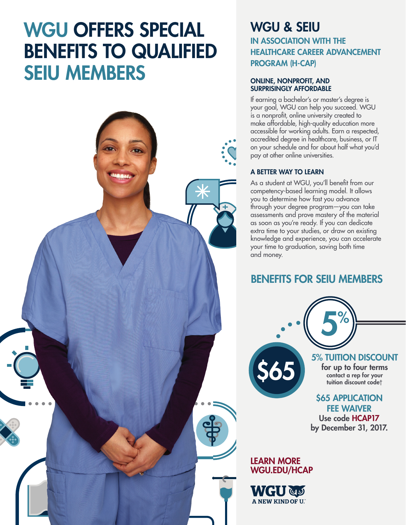# WGU OFFERS SPECIAL BENEFITS TO QUALIFIED SEIU MEMBERS



### WGU & SEIU IN ASSOCIATION WITH THE HEALTHCARE CAREER ADVANCEMENT PROGRAM (H-CAP)

### ONLINE, NONPROFIT, AND SURPRISINGLY AFFORDABLE

If earning a bachelor's or master's degree is your goal, WGU can help you succeed. WGU is a nonprofit, online university created to make affordable, high-quality education more accessible for working adults. Earn a respected, accredited degree in healthcare, business, or IT on your schedule and for about half what you'd pay at other online universities.

### A BETTER WAY TO LEARN

As a student at WGU, you'll benefit from our competency-based learning model. It allows you to determine how fast you advance through your degree program—you can take assessments and prove mastery of the material as soon as you're ready. If you can dedicate extra time to your studies, or draw on existing knowledge and experience, you can accelerate your time to graduation, saving both time and money.

### BENEFITS FOR SEIU MEMBERS

5%

5% TUITION DISCOUNT for up to four terms contact a rep for your tuition discount code†

### **\$65 APPLICATION** FEE WAIVER

Use code HCAP17 by December 31, 2017.

### LEARN MORE WGU.EDU/HCAP

\$65